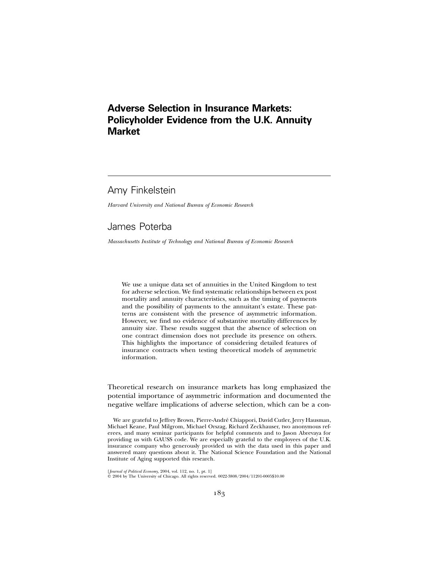# **Adverse Selection in Insurance Markets: Policyholder Evidence from the U.K. Annuity Market**

# Amy Finkelstein

*Harvard University and National Bureau of Economic Research*

# James Poterba

*Massachusetts Institute of Technology and National Bureau of Economic Research*

We use a unique data set of annuities in the United Kingdom to test for adverse selection. We find systematic relationships between ex post mortality and annuity characteristics, such as the timing of payments and the possibility of payments to the annuitant's estate. These patterns are consistent with the presence of asymmetric information. However, we find no evidence of substantive mortality differences by annuity size. These results suggest that the absence of selection on one contract dimension does not preclude its presence on others. This highlights the importance of considering detailed features of insurance contracts when testing theoretical models of asymmetric information.

Theoretical research on insurance markets has long emphasized the potential importance of asymmetric information and documented the negative welfare implications of adverse selection, which can be a con-

We are grateful to Jeffrey Brown, Pierre-André Chiappori, David Cutler, Jerry Hausman, Michael Keane, Paul Milgrom, Michael Orszag, Richard Zeckhauser, two anonymous referees, and many seminar participants for helpful comments and to Jason Abrevaya for providing us with GAUSS code. We are especially grateful to the employees of the U.K. insurance company who generously provided us with the data used in this paper and answered many questions about it. The National Science Foundation and the National Institute of Aging supported this research.

<sup>[</sup>*Journal of Political Economy,* 2004, vol. 112, no. 1, pt. 1]<br>© 2004 by The University of Chicago. All rights reserved. 0022-3808/2004/11201-0005\$10.00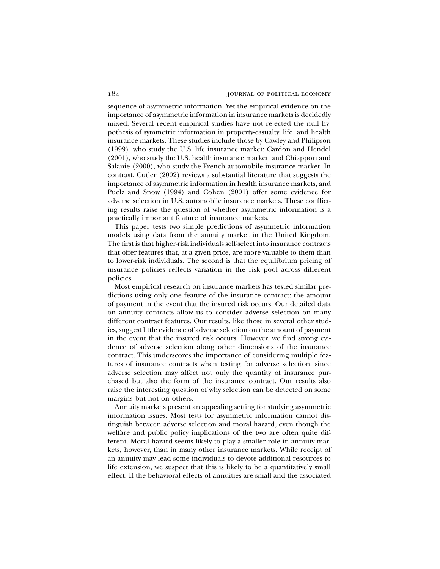sequence of asymmetric information. Yet the empirical evidence on the importance of asymmetric information in insurance markets is decidedly mixed. Several recent empirical studies have not rejected the null hypothesis of symmetric information in property-casualty, life, and health insurance markets. These studies include those by Cawley and Philipson (1999), who study the U.S. life insurance market; Cardon and Hendel (2001), who study the U.S. health insurance market; and Chiappori and Salanie (2000), who study the French automobile insurance market. In contrast, Cutler (2002) reviews a substantial literature that suggests the importance of asymmetric information in health insurance markets, and Puelz and Snow (1994) and Cohen (2001) offer some evidence for adverse selection in U.S. automobile insurance markets. These conflicting results raise the question of whether asymmetric information is a practically important feature of insurance markets.

This paper tests two simple predictions of asymmetric information models using data from the annuity market in the United Kingdom. The first is that higher-risk individuals self-select into insurance contracts that offer features that, at a given price, are more valuable to them than to lower-risk individuals. The second is that the equilibrium pricing of insurance policies reflects variation in the risk pool across different policies.

Most empirical research on insurance markets has tested similar predictions using only one feature of the insurance contract: the amount of payment in the event that the insured risk occurs. Our detailed data on annuity contracts allow us to consider adverse selection on many different contract features. Our results, like those in several other studies, suggest little evidence of adverse selection on the amount of payment in the event that the insured risk occurs. However, we find strong evidence of adverse selection along other dimensions of the insurance contract. This underscores the importance of considering multiple features of insurance contracts when testing for adverse selection, since adverse selection may affect not only the quantity of insurance purchased but also the form of the insurance contract. Our results also raise the interesting question of why selection can be detected on some margins but not on others.

Annuity markets present an appealing setting for studying asymmetric information issues. Most tests for asymmetric information cannot distinguish between adverse selection and moral hazard, even though the welfare and public policy implications of the two are often quite different. Moral hazard seems likely to play a smaller role in annuity markets, however, than in many other insurance markets. While receipt of an annuity may lead some individuals to devote additional resources to life extension, we suspect that this is likely to be a quantitatively small effect. If the behavioral effects of annuities are small and the associated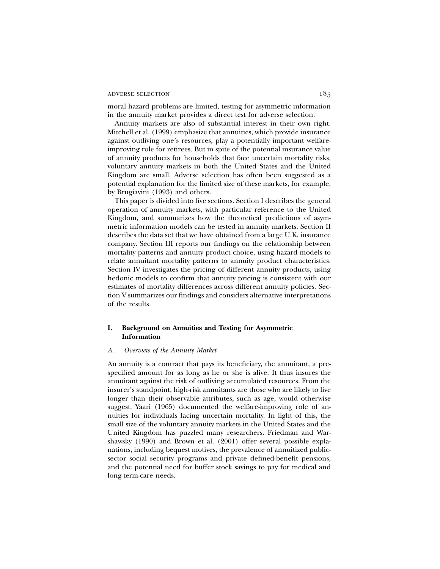moral hazard problems are limited, testing for asymmetric information in the annuity market provides a direct test for adverse selection.

Annuity markets are also of substantial interest in their own right. Mitchell et al. (1999) emphasize that annuities, which provide insurance against outliving one's resources, play a potentially important welfareimproving role for retirees. But in spite of the potential insurance value of annuity products for households that face uncertain mortality risks, voluntary annuity markets in both the United States and the United Kingdom are small. Adverse selection has often been suggested as a potential explanation for the limited size of these markets, for example, by Brugiavini (1993) and others.

This paper is divided into five sections. Section I describes the general operation of annuity markets, with particular reference to the United Kingdom, and summarizes how the theoretical predictions of asymmetric information models can be tested in annuity markets. Section II describes the data set that we have obtained from a large U.K. insurance company. Section III reports our findings on the relationship between mortality patterns and annuity product choice, using hazard models to relate annuitant mortality patterns to annuity product characteristics. Section IV investigates the pricing of different annuity products, using hedonic models to confirm that annuity pricing is consistent with our estimates of mortality differences across different annuity policies. Section V summarizes our findings and considers alternative interpretations of the results.

# **I. Background on Annuities and Testing for Asymmetric Information**

#### *A. Overview of the Annuity Market*

An annuity is a contract that pays its beneficiary, the annuitant, a prespecified amount for as long as he or she is alive. It thus insures the annuitant against the risk of outliving accumulated resources. From the insurer's standpoint, high-risk annuitants are those who are likely to live longer than their observable attributes, such as age, would otherwise suggest. Yaari (1965) documented the welfare-improving role of annuities for individuals facing uncertain mortality. In light of this, the small size of the voluntary annuity markets in the United States and the United Kingdom has puzzled many researchers. Friedman and Warshawsky (1990) and Brown et al. (2001) offer several possible explanations, including bequest motives, the prevalence of annuitized publicsector social security programs and private defined-benefit pensions, and the potential need for buffer stock savings to pay for medical and long-term-care needs.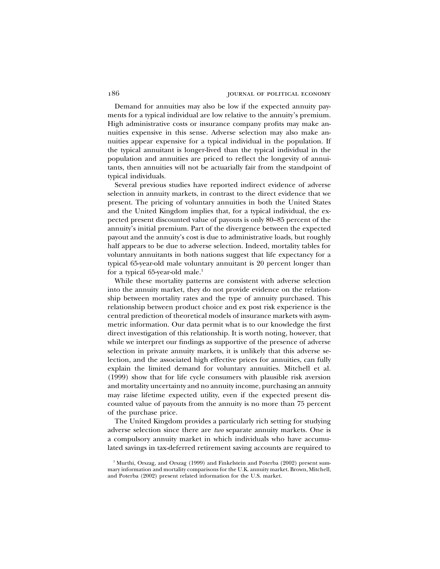Demand for annuities may also be low if the expected annuity payments for a typical individual are low relative to the annuity's premium. High administrative costs or insurance company profits may make annuities expensive in this sense. Adverse selection may also make annuities appear expensive for a typical individual in the population. If the typical annuitant is longer-lived than the typical individual in the population and annuities are priced to reflect the longevity of annuitants, then annuities will not be actuarially fair from the standpoint of typical individuals.

Several previous studies have reported indirect evidence of adverse selection in annuity markets, in contrast to the direct evidence that we present. The pricing of voluntary annuities in both the United States and the United Kingdom implies that, for a typical individual, the expected present discounted value of payouts is only 80–85 percent of the annuity's initial premium. Part of the divergence between the expected payout and the annuity's cost is due to administrative loads, but roughly half appears to be due to adverse selection. Indeed, mortality tables for voluntary annuitants in both nations suggest that life expectancy for a typical 65-year-old male voluntary annuitant is 20 percent longer than for a typical  $65$ -year-old male.<sup>1</sup>

While these mortality patterns are consistent with adverse selection into the annuity market, they do not provide evidence on the relationship between mortality rates and the type of annuity purchased. This relationship between product choice and ex post risk experience is the central prediction of theoretical models of insurance markets with asymmetric information. Our data permit what is to our knowledge the first direct investigation of this relationship. It is worth noting, however, that while we interpret our findings as supportive of the presence of adverse selection in private annuity markets, it is unlikely that this adverse selection, and the associated high effective prices for annuities, can fully explain the limited demand for voluntary annuities. Mitchell et al. (1999) show that for life cycle consumers with plausible risk aversion and mortality uncertainty and no annuity income, purchasing an annuity may raise lifetime expected utility, even if the expected present discounted value of payouts from the annuity is no more than 75 percent of the purchase price.

The United Kingdom provides a particularly rich setting for studying adverse selection since there are *two* separate annuity markets. One is a compulsory annuity market in which individuals who have accumulated savings in tax-deferred retirement saving accounts are required to

<sup>&</sup>lt;sup>1</sup> Murthi, Orszag, and Orszag (1999) and Finkelstein and Poterba (2002) present summary information and mortality comparisons for the U.K. annuity market. Brown, Mitchell, and Poterba (2002) present related information for the U.S. market.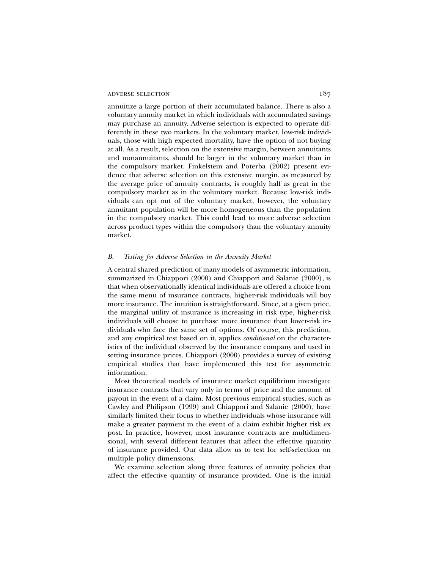annuitize a large portion of their accumulated balance. There is also a voluntary annuity market in which individuals with accumulated savings may purchase an annuity. Adverse selection is expected to operate differently in these two markets. In the voluntary market, low-risk individuals, those with high expected mortality, have the option of not buying at all. As a result, selection on the extensive margin, between annuitants and nonannuitants, should be larger in the voluntary market than in the compulsory market. Finkelstein and Poterba (2002) present evidence that adverse selection on this extensive margin, as measured by the average price of annuity contracts, is roughly half as great in the compulsory market as in the voluntary market. Because low-risk individuals can opt out of the voluntary market, however, the voluntary annuitant population will be more homogeneous than the population in the compulsory market. This could lead to more adverse selection across product types within the compulsory than the voluntary annuity market.

#### *B. Testing for Adverse Selection in the Annuity Market*

A central shared prediction of many models of asymmetric information, summarized in Chiappori (2000) and Chiappori and Salanie (2000), is that when observationally identical individuals are offered a choice from the same menu of insurance contracts, higher-risk individuals will buy more insurance. The intuition is straightforward. Since, at a given price, the marginal utility of insurance is increasing in risk type, higher-risk individuals will choose to purchase more insurance than lower-risk individuals who face the same set of options. Of course, this prediction, and any empirical test based on it, applies *conditional* on the characteristics of the individual observed by the insurance company and used in setting insurance prices. Chiappori (2000) provides a survey of existing empirical studies that have implemented this test for asymmetric information.

Most theoretical models of insurance market equilibrium investigate insurance contracts that vary only in terms of price and the amount of payout in the event of a claim. Most previous empirical studies, such as Cawley and Philipson (1999) and Chiappori and Salanie (2000), have similarly limited their focus to whether individuals whose insurance will make a greater payment in the event of a claim exhibit higher risk ex post. In practice, however, most insurance contracts are multidimensional, with several different features that affect the effective quantity of insurance provided. Our data allow us to test for self-selection on multiple policy dimensions.

We examine selection along three features of annuity policies that affect the effective quantity of insurance provided. One is the initial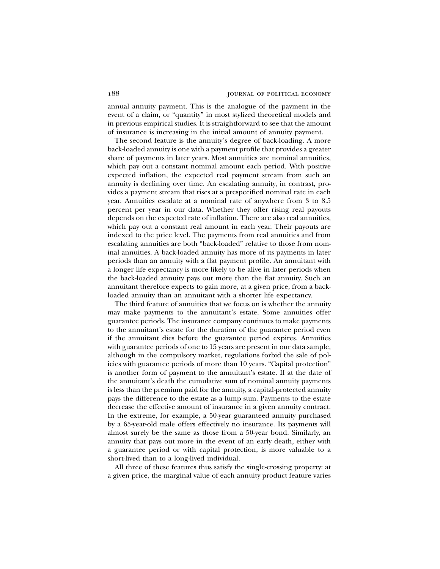annual annuity payment. This is the analogue of the payment in the event of a claim, or "quantity" in most stylized theoretical models and in previous empirical studies. It is straightforward to see that the amount of insurance is increasing in the initial amount of annuity payment.

The second feature is the annuity's degree of back-loading. A more back-loaded annuity is one with a payment profile that provides a greater share of payments in later years. Most annuities are nominal annuities, which pay out a constant nominal amount each period. With positive expected inflation, the expected real payment stream from such an annuity is declining over time. An escalating annuity, in contrast, provides a payment stream that rises at a prespecified nominal rate in each year. Annuities escalate at a nominal rate of anywhere from 3 to 8.5 percent per year in our data. Whether they offer rising real payouts depends on the expected rate of inflation. There are also real annuities, which pay out a constant real amount in each year. Their payouts are indexed to the price level. The payments from real annuities and from escalating annuities are both "back-loaded" relative to those from nominal annuities. A back-loaded annuity has more of its payments in later periods than an annuity with a flat payment profile. An annuitant with a longer life expectancy is more likely to be alive in later periods when the back-loaded annuity pays out more than the flat annuity. Such an annuitant therefore expects to gain more, at a given price, from a backloaded annuity than an annuitant with a shorter life expectancy.

The third feature of annuities that we focus on is whether the annuity may make payments to the annuitant's estate. Some annuities offer guarantee periods. The insurance company continues to make payments to the annuitant's estate for the duration of the guarantee period even if the annuitant dies before the guarantee period expires. Annuities with guarantee periods of one to 15 years are present in our data sample, although in the compulsory market, regulations forbid the sale of policies with guarantee periods of more than 10 years. "Capital protection" is another form of payment to the annuitant's estate. If at the date of the annuitant's death the cumulative sum of nominal annuity payments is less than the premium paid for the annuity, a capital-protected annuity pays the difference to the estate as a lump sum. Payments to the estate decrease the effective amount of insurance in a given annuity contract. In the extreme, for example, a 50-year guaranteed annuity purchased by a 65-year-old male offers effectively no insurance. Its payments will almost surely be the same as those from a 50-year bond. Similarly, an annuity that pays out more in the event of an early death, either with a guarantee period or with capital protection, is more valuable to a short-lived than to a long-lived individual.

All three of these features thus satisfy the single-crossing property: at a given price, the marginal value of each annuity product feature varies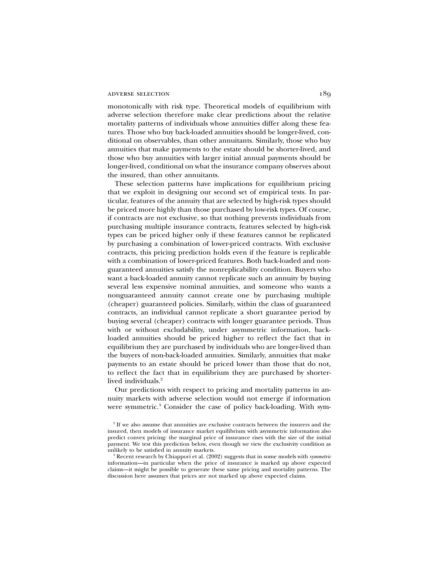monotonically with risk type. Theoretical models of equilibrium with adverse selection therefore make clear predictions about the relative mortality patterns of individuals whose annuities differ along these features. Those who buy back-loaded annuities should be longer-lived, conditional on observables, than other annuitants. Similarly, those who buy annuities that make payments to the estate should be shorter-lived, and those who buy annuities with larger initial annual payments should be longer-lived, conditional on what the insurance company observes about the insured, than other annuitants.

These selection patterns have implications for equilibrium pricing that we exploit in designing our second set of empirical tests. In particular, features of the annuity that are selected by high-risk types should be priced more highly than those purchased by low-risk types. Of course, if contracts are not exclusive, so that nothing prevents individuals from purchasing multiple insurance contracts, features selected by high-risk types can be priced higher only if these features cannot be replicated by purchasing a combination of lower-priced contracts. With exclusive contracts, this pricing prediction holds even if the feature is replicable with a combination of lower-priced features. Both back-loaded and nonguaranteed annuities satisfy the nonreplicability condition. Buyers who want a back-loaded annuity cannot replicate such an annuity by buying several less expensive nominal annuities, and someone who wants a nonguaranteed annuity cannot create one by purchasing multiple (cheaper) guaranteed policies. Similarly, within the class of guaranteed contracts, an individual cannot replicate a short guarantee period by buying several (cheaper) contracts with longer guarantee periods. Thus with or without excludability, under asymmetric information, backloaded annuities should be priced higher to reflect the fact that in equilibrium they are purchased by individuals who are longer-lived than the buyers of non-back-loaded annuities. Similarly, annuities that make payments to an estate should be priced lower than those that do not, to reflect the fact that in equilibrium they are purchased by shorterlived individuals.<sup>2</sup>

Our predictions with respect to pricing and mortality patterns in annuity markets with adverse selection would not emerge if information were symmetric.<sup>3</sup> Consider the case of policy back-loading. With sym-

<sup>&</sup>lt;sup>2</sup> If we also assume that annuities are exclusive contracts between the insurers and the insured, then models of insurance market equilibrium with asymmetric information also predict convex pricing: the marginal price of insurance rises with the size of the initial payment. We test this prediction below, even though we view the exclusivity condition as unlikely to be satisfied in annuity markets.

<sup>3</sup> Recent research by Chiappori et al. (2002) suggests that in some models with *symmetric* information—in particular when the price of insurance is marked up above expected claims—it might be possible to generate these same pricing and mortality patterns. The discussion here assumes that prices are not marked up above expected claims.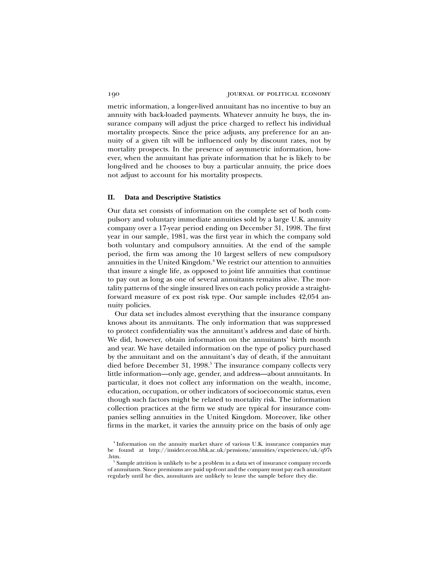metric information, a longer-lived annuitant has no incentive to buy an annuity with back-loaded payments. Whatever annuity he buys, the insurance company will adjust the price charged to reflect his individual mortality prospects. Since the price adjusts, any preference for an annuity of a given tilt will be influenced only by discount rates, not by mortality prospects. In the presence of asymmetric information, however, when the annuitant has private information that he is likely to be long-lived and he chooses to buy a particular annuity, the price does not adjust to account for his mortality prospects.

## **II. Data and Descriptive Statistics**

Our data set consists of information on the complete set of both compulsory and voluntary immediate annuities sold by a large U.K. annuity company over a 17-year period ending on December 31, 1998. The first year in our sample, 1981, was the first year in which the company sold both voluntary and compulsory annuities. At the end of the sample period, the firm was among the 10 largest sellers of new compulsory annuities in the United Kingdom.<sup>4</sup> We restrict our attention to annuities that insure a single life, as opposed to joint life annuities that continue to pay out as long as one of several annuitants remains alive. The mortality patterns of the single insured lives on each policy provide a straightforward measure of ex post risk type. Our sample includes 42,054 annuity policies.

Our data set includes almost everything that the insurance company knows about its annuitants. The only information that was suppressed to protect confidentiality was the annuitant's address and date of birth. We did, however, obtain information on the annuitants' birth month and year. We have detailed information on the type of policy purchased by the annuitant and on the annuitant's day of death, if the annuitant died before December 31, 1998.<sup>5</sup> The insurance company collects very little information—only age, gender, and address—about annuitants. In particular, it does not collect any information on the wealth, income, education, occupation, or other indicators of socioeconomic status, even though such factors might be related to mortality risk. The information collection practices at the firm we study are typical for insurance companies selling annuities in the United Kingdom. Moreover, like other firms in the market, it varies the annuity price on the basis of only age

<sup>4</sup> Information on the annuity market share of various U.K. insurance companies may be found at http://insider.econ.bbk.ac.uk/pensions/annuities/experiences/uk/q97s .htm.

<sup>&</sup>lt;sup>5</sup> Sample attrition is unlikely to be a problem in a data set of insurance company records of annuitants. Since premiums are paid up-front and the company must pay each annuitant regularly until he dies, annuitants are unlikely to leave the sample before they die.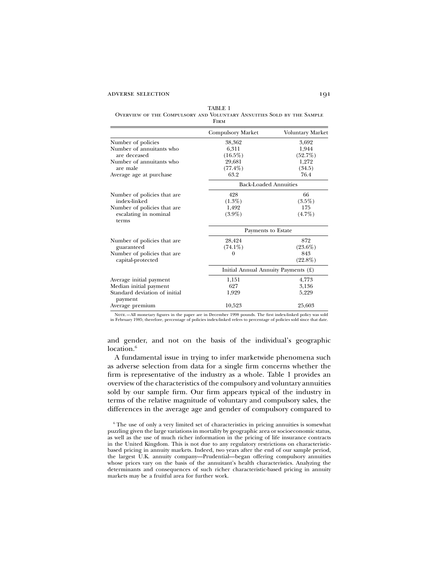#### adverse selection 191

TABLE 1

Overview of the Compulsory and Voluntary Annuities Sold by the Sample

Firm

|                                          | <b>Compulsory Market</b>                       | Voluntary Market |  |
|------------------------------------------|------------------------------------------------|------------------|--|
| Number of policies                       | 38,362                                         | 3,692            |  |
| Number of annuitants who                 | 6,311                                          | 1,944            |  |
| are deceased                             | $(16.5\%)$                                     | (52.7%)          |  |
| Number of annuitants who                 | 29,681                                         | 1,272            |  |
| are male                                 | $(77.4\%)$                                     | (34.5)           |  |
| Average age at purchase                  | 63.2                                           | 76.4             |  |
|                                          | <b>Back-Loaded Annuities</b>                   |                  |  |
| Number of policies that are              | 428                                            | 66               |  |
| index-linked                             | $(1.3\%)$                                      | $(3.5\%)$        |  |
| Number of policies that are              | 1,492                                          | 175              |  |
| escalating in nominal<br>terms           | $(3.9\%)$                                      | $(4.7\%)$        |  |
|                                          | Payments to Estate                             |                  |  |
| Number of policies that are              | 28,424                                         | 872              |  |
| guaranteed                               | $(74.1\%)$                                     | $(23.6\%)$       |  |
| Number of policies that are              | $\Omega$                                       | 843              |  |
| capital-protected                        |                                                | $(22.8\%)$       |  |
|                                          | Initial Annual Annuity Payments $(\texttt{f})$ |                  |  |
| Average initial payment                  | 1,151                                          | 4,773            |  |
| Median initial payment                   | 627                                            | 3,136            |  |
| Standard deviation of initial<br>payment | 1,929                                          | 5,229            |  |
| Average premium                          | 10,523                                         | 25,603           |  |

Note.—All monetary figures in the paper are in December 1998 pounds. The first index-linked policy was sold in February 1985; therefore, percentage of policies index-linked refers to percentage of policies sold since that date.

and gender, and not on the basis of the individual's geographic location.<sup>6</sup>

A fundamental issue in trying to infer marketwide phenomena such as adverse selection from data for a single firm concerns whether the firm is representative of the industry as a whole. Table 1 provides an overview of the characteristics of the compulsory and voluntary annuities sold by our sample firm. Our firm appears typical of the industry in terms of the relative magnitude of voluntary and compulsory sales, the differences in the average age and gender of compulsory compared to

<sup>&</sup>lt;sup>6</sup> The use of only a very limited set of characteristics in pricing annuities is somewhat puzzling given the large variations in mortality by geographic area or socioeconomic status, as well as the use of much richer information in the pricing of life insurance contracts in the United Kingdom. This is not due to any regulatory restrictions on characteristicbased pricing in annuity markets. Indeed, two years after the end of our sample period, the largest U.K. annuity company—Prudential—began offering compulsory annuities whose prices vary on the basis of the annuitant's health characteristics. Analyzing the determinants and consequences of such richer characteristic-based pricing in annuity markets may be a fruitful area for further work.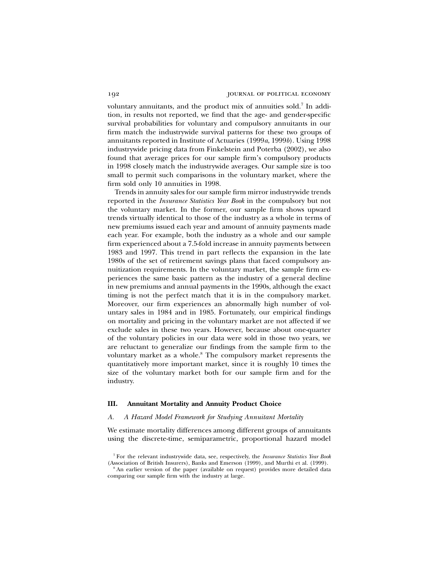voluntary annuitants, and the product mix of annuities sold.<sup>7</sup> In addition, in results not reported, we find that the age- and gender-specific survival probabilities for voluntary and compulsory annuitants in our firm match the industrywide survival patterns for these two groups of annuitants reported in Institute of Actuaries (1999*a*, 1999*b*). Using 1998 industrywide pricing data from Finkelstein and Poterba (2002), we also found that average prices for our sample firm's compulsory products in 1998 closely match the industrywide averages. Our sample size is too small to permit such comparisons in the voluntary market, where the firm sold only 10 annuities in 1998.

Trends in annuity sales for our sample firm mirror industrywide trends reported in the *Insurance Statistics Year Book* in the compulsory but not the voluntary market. In the former, our sample firm shows upward trends virtually identical to those of the industry as a whole in terms of new premiums issued each year and amount of annuity payments made each year. For example, both the industry as a whole and our sample firm experienced about a 7.5-fold increase in annuity payments between 1983 and 1997. This trend in part reflects the expansion in the late 1980s of the set of retirement savings plans that faced compulsory annuitization requirements. In the voluntary market, the sample firm experiences the same basic pattern as the industry of a general decline in new premiums and annual payments in the 1990s, although the exact timing is not the perfect match that it is in the compulsory market. Moreover, our firm experiences an abnormally high number of voluntary sales in 1984 and in 1985. Fortunately, our empirical findings on mortality and pricing in the voluntary market are not affected if we exclude sales in these two years. However, because about one-quarter of the voluntary policies in our data were sold in those two years, we are reluctant to generalize our findings from the sample firm to the voluntary market as a whole.<sup>8</sup> The compulsory market represents the quantitatively more important market, since it is roughly 10 times the size of the voluntary market both for our sample firm and for the industry.

#### **III. Annuitant Mortality and Annuity Product Choice**

#### *A. A Hazard Model Framework for Studying Annuitant Mortality*

We estimate mortality differences among different groups of annuitants using the discrete-time, semiparametric, proportional hazard model

<sup>7</sup> For the relevant industrywide data, see, respectively, the *Insurance Statistics Year Book* (Association of British Insurers), Banks and Emerson (1999), and Murthi et al. (1999).

<sup>8</sup> An earlier version of the paper (available on request) provides more detailed data comparing our sample firm with the industry at large.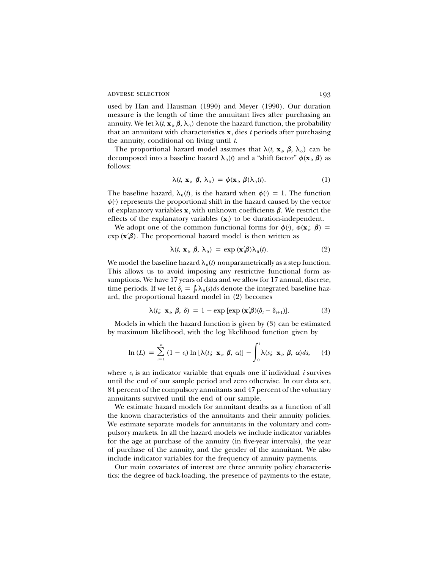used by Han and Hausman (1990) and Meyer (1990). Our duration measure is the length of time the annuitant lives after purchasing an annuity. We let  $\lambda(t, \mathbf{x}_{i}, \boldsymbol{\beta}, \lambda_{0})$  denote the hazard function, the probability that an annuitant with characteristics  $\mathbf{x}_i$  dies t periods after purchasing the annuity, conditional on living until *t*.

The proportional hazard model assumes that  $\lambda(t, \mathbf{x}_{i}, \boldsymbol{\beta}, \lambda_{0})$  can be decomposed into a baseline hazard  $\lambda_0(t)$  and a "shift factor"  $\phi(\mathbf{x}_i, \boldsymbol{\beta})$  as follows:

$$
\lambda(t, \mathbf{x}_{i}, \boldsymbol{\beta}, \lambda_{0}) = \phi(\mathbf{x}_{i}, \boldsymbol{\beta})\lambda_{0}(t). \qquad (1)
$$

The baseline hazard,  $\lambda_0(t)$ , is the hazard when  $\phi(\cdot) = 1$ . The function  $\phi$ ( $\phi$ ) represents the proportional shift in the hazard caused by the vector of explanatory variables  $\mathbf{x}$ , with unknown coefficients  $\beta$ . We restrict the effects of the explanatory variables (**x***<sup>i</sup>* ) to be duration-independent.

We adopt one of the common functional forms for  $\phi(\cdot)$ ,  $\phi(\mathbf{x}; \beta)$  =  $\exp(\mathbf{x}/\boldsymbol{\beta})$ . The proportional hazard model is then written as

$$
\lambda(t, \mathbf{x}_{i}, \boldsymbol{\beta}, \lambda_{0}) = \exp(\mathbf{x}_{i}^{\prime} \boldsymbol{\beta}) \lambda_{0}(t). \tag{2}
$$

We model the baseline hazard  $\lambda_0(t)$  nonparametrically as a step function. This allows us to avoid imposing any restrictive functional form assumptions. We have 17 years of data and we allow for 17 annual, discrete, time periods. If we let  $\delta_t = \int_0^t \lambda_0(s) ds$  denote the integrated baseline hazard, the proportional hazard model in (2) becomes

$$
\lambda(t_i; \mathbf{x}_i, \boldsymbol{\beta}, \delta) = 1 - \exp\left[\exp\left(\mathbf{x}_i'\boldsymbol{\beta}\right)(\delta_t - \delta_{t+1})\right].\tag{3}
$$

Models in which the hazard function is given by (3) can be estimated by maximum likelihood, with the log likelihood function given by

$$
\ln(L) = \sum_{i=1}^{n} (1 - c_i) \ln[\lambda(t_i; \mathbf{x}_{i}, \boldsymbol{\beta}, \alpha)] - \int_{0}^{t} \lambda(s_i; \mathbf{x}_{i}, \boldsymbol{\beta}, \alpha) ds, \quad (4)
$$

where  $c_i$  is an indicator variable that equals one if individual *i* survives until the end of our sample period and zero otherwise. In our data set, 84 percent of the compulsory annuitants and 47 percent of the voluntary annuitants survived until the end of our sample.

We estimate hazard models for annuitant deaths as a function of all the known characteristics of the annuitants and their annuity policies. We estimate separate models for annuitants in the voluntary and compulsory markets. In all the hazard models we include indicator variables for the age at purchase of the annuity (in five-year intervals), the year of purchase of the annuity, and the gender of the annuitant. We also include indicator variables for the frequency of annuity payments.

Our main covariates of interest are three annuity policy characteristics: the degree of back-loading, the presence of payments to the estate,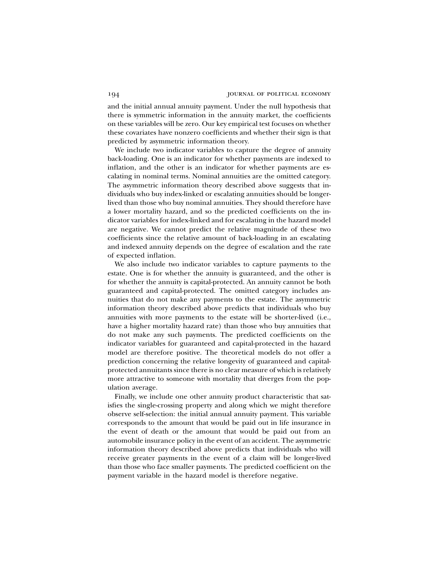and the initial annual annuity payment. Under the null hypothesis that there is symmetric information in the annuity market, the coefficients on these variables will be zero. Our key empirical test focuses on whether these covariates have nonzero coefficients and whether their sign is that predicted by asymmetric information theory.

We include two indicator variables to capture the degree of annuity back-loading. One is an indicator for whether payments are indexed to inflation, and the other is an indicator for whether payments are escalating in nominal terms. Nominal annuities are the omitted category. The asymmetric information theory described above suggests that individuals who buy index-linked or escalating annuities should be longerlived than those who buy nominal annuities. They should therefore have a lower mortality hazard, and so the predicted coefficients on the indicator variables for index-linked and for escalating in the hazard model are negative. We cannot predict the relative magnitude of these two coefficients since the relative amount of back-loading in an escalating and indexed annuity depends on the degree of escalation and the rate of expected inflation.

We also include two indicator variables to capture payments to the estate. One is for whether the annuity is guaranteed, and the other is for whether the annuity is capital-protected. An annuity cannot be both guaranteed and capital-protected. The omitted category includes annuities that do not make any payments to the estate. The asymmetric information theory described above predicts that individuals who buy annuities with more payments to the estate will be shorter-lived (i.e., have a higher mortality hazard rate) than those who buy annuities that do not make any such payments. The predicted coefficients on the indicator variables for guaranteed and capital-protected in the hazard model are therefore positive. The theoretical models do not offer a prediction concerning the relative longevity of guaranteed and capitalprotected annuitants since there is no clear measure of which is relatively more attractive to someone with mortality that diverges from the population average.

Finally, we include one other annuity product characteristic that satisfies the single-crossing property and along which we might therefore observe self-selection: the initial annual annuity payment. This variable corresponds to the amount that would be paid out in life insurance in the event of death or the amount that would be paid out from an automobile insurance policy in the event of an accident. The asymmetric information theory described above predicts that individuals who will receive greater payments in the event of a claim will be longer-lived than those who face smaller payments. The predicted coefficient on the payment variable in the hazard model is therefore negative.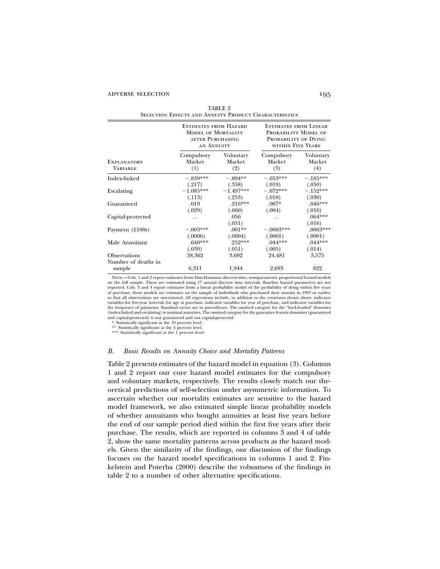TABLE 2 Selection Effects and Annuity Product Characteristics

|                                | <b>ESTIMATES FROM HAZARD</b><br><b>MODEL OF MORTALITY</b><br>AFTER PURCHASING<br>AN ANNUITY |                            | <b>ESTIMATES FROM LINEAR</b><br>PROBABILITY MODEL OF<br>PROBABILITY OF DYING<br>WITHIN FIVE YEARS |                               |
|--------------------------------|---------------------------------------------------------------------------------------------|----------------------------|---------------------------------------------------------------------------------------------------|-------------------------------|
| <b>EXPLANATORY</b><br>VARIABLE | Compulsory<br>Market<br>(1)                                                                 | Voluntary<br>Market<br>(2) | Compulsory<br>Market<br>(3)                                                                       | Voluntary<br>Market<br>(4)    |
| Index-linked                   | $-.839***$<br>(.217)                                                                        | $-.894**$<br>(.358)        | $-.053***$<br>(.019)                                                                              | $-.185***$<br>(.050)          |
| Escalating                     | $-1.085***$                                                                                 | $-1.497***$                | $-.072***$                                                                                        | $-.152***$                    |
| Guaranteed                     | (.113)<br>.019                                                                              | (.253)<br>$.216***$        | (.010)<br>$.007*$                                                                                 | (.030)<br>$.046***$           |
| Capital-protected              | (.029)<br>.                                                                                 | (.060)<br>.056<br>(.051)   | (.004)<br>$\cdots$                                                                                | (.016)<br>$.064***$<br>(.016) |
| Payment (£100s)                | $-.003***$<br>(.0006)                                                                       | $.001**$<br>(.0004)        | $-.0003***$<br>(.0001)                                                                            | $.0003***$<br>(.0001)         |
| Male Annuitant                 | $.640***$<br>(.039)                                                                         | $.252***$<br>(.051)        | $.044***$<br>(.005)                                                                               | $.044***$<br>(.014)           |
| <b>Observations</b>            | 38,362                                                                                      | 3,692                      | 24,481                                                                                            | 3,575                         |
| Number of deaths in<br>sample  | 6,311                                                                                       | 1,944                      | 2,693                                                                                             | 822                           |

Norr.—Cols. 1 and 2 report estimates from Han-Hausman discrete-time, semiparametric proportional hazard models<br>on the full sample. These are estimated using 17 annual discrete time intervals. Baseline hazard parameters are reported. Cols. 3 and 4 report estimates from a linear probability model of the probability of dying within five years of purchase; these models are estimates on the sample of individuals who purchased their annuity in 1993 or earlier, so that all observations are uncensored. All regressions include, in addition to the covariates shown above, indicator variables for five-year intervals for age at purchase, indicator variables for year of purchase, and indicator variables for the frequency of payments. Standard errors are in parentheses. The omitted category for the "back-loaded" dummies<br>(index-linked and escalating) is nominal annuities. The omitted category for the guarantee feature dummies (

and capital-protected) is not guaranteed and not capital-protected. \* Statistically significant at the 10 percent level.

\*\* Statistically significant at the 5 percent level.

\*\*\* Statistically significant at the 1 percent level.

# *B. Basic Results on Annuity Choice and Mortality Patterns*

Table 2 presents estimates of the hazard model in equation (3). Columns 1 and 2 report our core hazard model estimates for the compulsory and voluntary markets, respectively. The results closely match our theoretical predictions of self-selection under asymmetric information. To ascertain whether our mortality estimates are sensitive to the hazard model framework, we also estimated simple linear probability models of whether annuitants who bought annuities at least five years before the end of our sample period died within the first five years after their purchase. The results, which are reported in columns 3 and 4 of table 2, show the same mortality patterns across products as the hazard models. Given the similarity of the findings, our discussion of the findings focuses on the hazard model specifications in columns 1 and 2. Finkelstein and Poterba (2000) describe the robustness of the findings in table 2 to a number of other alternative specifications.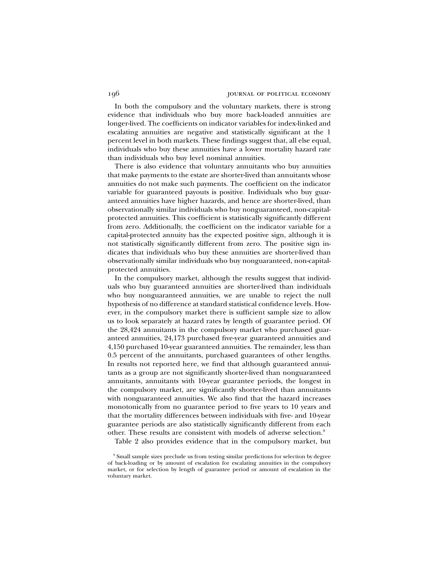In both the compulsory and the voluntary markets, there is strong evidence that individuals who buy more back-loaded annuities are longer-lived. The coefficients on indicator variables for index-linked and escalating annuities are negative and statistically significant at the 1 percent level in both markets. These findings suggest that, all else equal, individuals who buy these annuities have a lower mortality hazard rate than individuals who buy level nominal annuities.

There is also evidence that voluntary annuitants who buy annuities that make payments to the estate are shorter-lived than annuitants whose annuities do not make such payments. The coefficient on the indicator variable for guaranteed payouts is positive. Individuals who buy guaranteed annuities have higher hazards, and hence are shorter-lived, than observationally similar individuals who buy nonguaranteed, non-capitalprotected annuities. This coefficient is statistically significantly different from zero. Additionally, the coefficient on the indicator variable for a capital-protected annuity has the expected positive sign, although it is not statistically significantly different from zero. The positive sign indicates that individuals who buy these annuities are shorter-lived than observationally similar individuals who buy nonguaranteed, non-capitalprotected annuities.

In the compulsory market, although the results suggest that individuals who buy guaranteed annuities are shorter-lived than individuals who buy nonguaranteed annuities, we are unable to reject the null hypothesis of no difference at standard statistical confidence levels. However, in the compulsory market there is sufficient sample size to allow us to look separately at hazard rates by length of guarantee period. Of the 28,424 annuitants in the compulsory market who purchased guaranteed annuities, 24,173 purchased five-year guaranteed annuities and 4,150 purchased 10-year guaranteed annuities. The remainder, less than 0.5 percent of the annuitants, purchased guarantees of other lengths. In results not reported here, we find that although guaranteed annuitants as a group are not significantly shorter-lived than nonguaranteed annuitants, annuitants with 10-year guarantee periods, the longest in the compulsory market, are significantly shorter-lived than annuitants with nonguaranteed annuities. We also find that the hazard increases monotonically from no guarantee period to five years to 10 years and that the mortality differences between individuals with five- and 10-year guarantee periods are also statistically significantly different from each other. These results are consistent with models of adverse selection.<sup>9</sup>

Table 2 also provides evidence that in the compulsory market, but

<sup>&</sup>lt;sup>9</sup> Small sample sizes preclude us from testing similar predictions for selection by degree of back-loading or by amount of escalation for escalating annuities in the compulsory market, or for selection by length of guarantee period or amount of escalation in the voluntary market.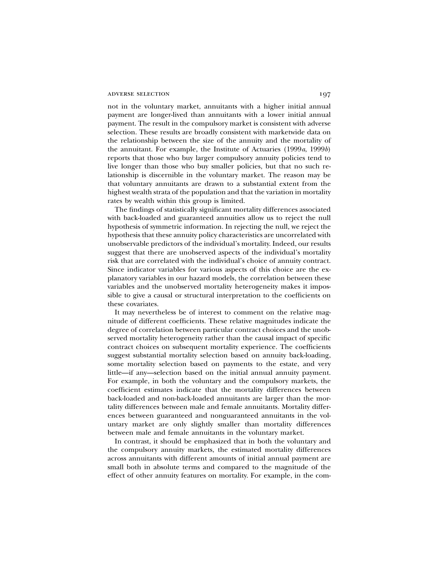not in the voluntary market, annuitants with a higher initial annual payment are longer-lived than annuitants with a lower initial annual payment. The result in the compulsory market is consistent with adverse selection. These results are broadly consistent with marketwide data on the relationship between the size of the annuity and the mortality of the annuitant. For example, the Institute of Actuaries (1999*a*, 1999*b*) reports that those who buy larger compulsory annuity policies tend to live longer than those who buy smaller policies, but that no such relationship is discernible in the voluntary market. The reason may be that voluntary annuitants are drawn to a substantial extent from the highest wealth strata of the population and that the variation in mortality rates by wealth within this group is limited.

The findings of statistically significant mortality differences associated with back-loaded and guaranteed annuities allow us to reject the null hypothesis of symmetric information. In rejecting the null, we reject the hypothesis that these annuity policy characteristics are uncorrelated with unobservable predictors of the individual's mortality. Indeed, our results suggest that there are unobserved aspects of the individual's mortality risk that are correlated with the individual's choice of annuity contract. Since indicator variables for various aspects of this choice are the explanatory variables in our hazard models, the correlation between these variables and the unobserved mortality heterogeneity makes it impossible to give a causal or structural interpretation to the coefficients on these covariates.

It may nevertheless be of interest to comment on the relative magnitude of different coefficients. These relative magnitudes indicate the degree of correlation between particular contract choices and the unobserved mortality heterogeneity rather than the causal impact of specific contract choices on subsequent mortality experience. The coefficients suggest substantial mortality selection based on annuity back-loading, some mortality selection based on payments to the estate, and very little—if any—selection based on the initial annual annuity payment. For example, in both the voluntary and the compulsory markets, the coefficient estimates indicate that the mortality differences between back-loaded and non-back-loaded annuitants are larger than the mortality differences between male and female annuitants. Mortality differences between guaranteed and nonguaranteed annuitants in the voluntary market are only slightly smaller than mortality differences between male and female annuitants in the voluntary market.

In contrast, it should be emphasized that in both the voluntary and the compulsory annuity markets, the estimated mortality differences across annuitants with different amounts of initial annual payment are small both in absolute terms and compared to the magnitude of the effect of other annuity features on mortality. For example, in the com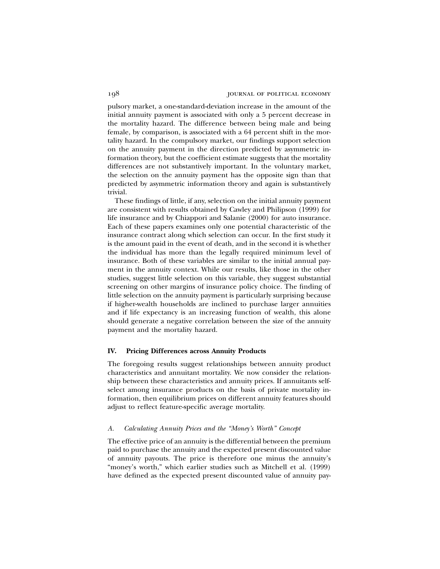pulsory market, a one-standard-deviation increase in the amount of the initial annuity payment is associated with only a 5 percent decrease in the mortality hazard. The difference between being male and being female, by comparison, is associated with a 64 percent shift in the mortality hazard. In the compulsory market, our findings support selection on the annuity payment in the direction predicted by asymmetric information theory, but the coefficient estimate suggests that the mortality differences are not substantively important. In the voluntary market, the selection on the annuity payment has the opposite sign than that predicted by asymmetric information theory and again is substantively trivial.

These findings of little, if any, selection on the initial annuity payment are consistent with results obtained by Cawley and Philipson (1999) for life insurance and by Chiappori and Salanie (2000) for auto insurance. Each of these papers examines only one potential characteristic of the insurance contract along which selection can occur. In the first study it is the amount paid in the event of death, and in the second it is whether the individual has more than the legally required minimum level of insurance. Both of these variables are similar to the initial annual payment in the annuity context. While our results, like those in the other studies, suggest little selection on this variable, they suggest substantial screening on other margins of insurance policy choice. The finding of little selection on the annuity payment is particularly surprising because if higher-wealth households are inclined to purchase larger annuities and if life expectancy is an increasing function of wealth, this alone should generate a negative correlation between the size of the annuity payment and the mortality hazard.

## **IV. Pricing Differences across Annuity Products**

The foregoing results suggest relationships between annuity product characteristics and annuitant mortality. We now consider the relationship between these characteristics and annuity prices. If annuitants selfselect among insurance products on the basis of private mortality information, then equilibrium prices on different annuity features should adjust to reflect feature-specific average mortality.

#### *A. Calculating Annuity Prices and the "Money's Worth" Concept*

The effective price of an annuity is the differential between the premium paid to purchase the annuity and the expected present discounted value of annuity payouts. The price is therefore one minus the annuity's "money's worth," which earlier studies such as Mitchell et al. (1999) have defined as the expected present discounted value of annuity pay-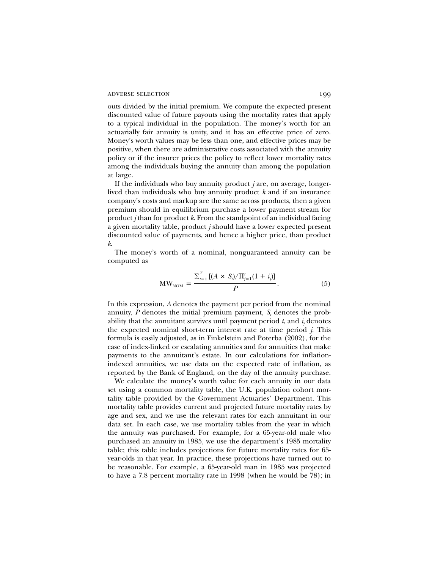### adverse selection 199

outs divided by the initial premium. We compute the expected present discounted value of future payouts using the mortality rates that apply to a typical individual in the population. The money's worth for an actuarially fair annuity is unity, and it has an effective price of zero. Money's worth values may be less than one, and effective prices may be positive, when there are administrative costs associated with the annuity policy or if the insurer prices the policy to reflect lower mortality rates among the individuals buying the annuity than among the population at large.

If the individuals who buy annuity product *j* are, on average, longerlived than individuals who buy annuity product *k* and if an insurance company's costs and markup are the same across products, then a given premium should in equilibrium purchase a lower payment stream for product *j* than for product *k*. From the standpoint of an individual facing a given mortality table, product *j* should have a lower expected present discounted value of payments, and hence a higher price, than product *k*.

The money's worth of a nominal, nonguaranteed annuity can be computed as

$$
MW_{NOM} = \frac{\sum_{t=1}^{T} [(A \times S_t)/\Pi_{j=1}'(1+i_j)]}{P}.
$$
 (5)

In this expression, *A* denotes the payment per period from the nominal annuity,  $P$  denotes the initial premium payment,  $S_t$  denotes the probability that the annuitant survives until payment period  $t$ , and  $i<sub>i</sub>$  denotes the expected nominal short-term interest rate at time period *j*. This formula is easily adjusted, as in Finkelstein and Poterba (2002), for the case of index-linked or escalating annuities and for annuities that make payments to the annuitant's estate. In our calculations for inflationindexed annuities, we use data on the expected rate of inflation, as reported by the Bank of England, on the day of the annuity purchase.

We calculate the money's worth value for each annuity in our data set using a common mortality table, the U.K. population cohort mortality table provided by the Government Actuaries' Department. This mortality table provides current and projected future mortality rates by age and sex, and we use the relevant rates for each annuitant in our data set. In each case, we use mortality tables from the year in which the annuity was purchased. For example, for a 65-year-old male who purchased an annuity in 1985, we use the department's 1985 mortality table; this table includes projections for future mortality rates for 65 year-olds in that year. In practice, these projections have turned out to be reasonable. For example, a 65-year-old man in 1985 was projected to have a 7.8 percent mortality rate in 1998 (when he would be 78); in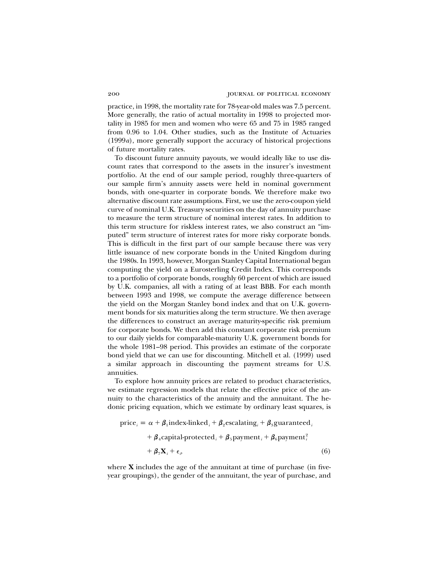practice, in 1998, the mortality rate for 78-year-old males was 7.5 percent. More generally, the ratio of actual mortality in 1998 to projected mortality in 1985 for men and women who were 65 and 75 in 1985 ranged from 0.96 to 1.04. Other studies, such as the Institute of Actuaries (1999*a*), more generally support the accuracy of historical projections of future mortality rates.

To discount future annuity payouts, we would ideally like to use discount rates that correspond to the assets in the insurer's investment portfolio. At the end of our sample period, roughly three-quarters of our sample firm's annuity assets were held in nominal government bonds, with one-quarter in corporate bonds. We therefore make two alternative discount rate assumptions. First, we use the zero-coupon yield curve of nominal U.K. Treasury securities on the day of annuity purchase to measure the term structure of nominal interest rates. In addition to this term structure for riskless interest rates, we also construct an "imputed" term structure of interest rates for more risky corporate bonds. This is difficult in the first part of our sample because there was very little issuance of new corporate bonds in the United Kingdom during the 1980s. In 1993, however, Morgan Stanley Capital International began computing the yield on a Eurosterling Credit Index. This corresponds to a portfolio of corporate bonds, roughly 60 percent of which are issued by U.K. companies, all with a rating of at least BBB. For each month between 1993 and 1998, we compute the average difference between the yield on the Morgan Stanley bond index and that on U.K. government bonds for six maturities along the term structure. We then average the differences to construct an average maturity-specific risk premium for corporate bonds. We then add this constant corporate risk premium to our daily yields for comparable-maturity U.K. government bonds for the whole 1981–98 period. This provides an estimate of the corporate bond yield that we can use for discounting. Mitchell et al. (1999) used a similar approach in discounting the payment streams for U.S. annuities.

To explore how annuity prices are related to product characteristics, we estimate regression models that relate the effective price of the annuity to the characteristics of the annuity and the annuitant. The hedonic pricing equation, which we estimate by ordinary least squares, is

$$
price_i = \alpha + \beta_1 index-linked_i + \beta_2 escalating_i + \beta_3 guaranteed_i
$$
  
+  $\beta_4 capital-protected_i + \beta_5 payment_i + \beta_6 payment_i^2$   
+  $\beta_7 X_i + \epsilon_i$ , (6)

where **X** includes the age of the annuitant at time of purchase (in fiveyear groupings), the gender of the annuitant, the year of purchase, and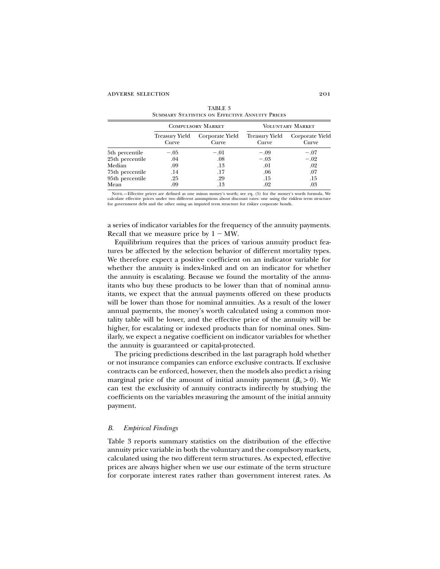TABLE 3 SUMMARY STATISTICS ON EFFECTIVE ANNUITY PRICES

|                 | <b>COMPULSORY MARKET</b>       |                          | VOLUNTARY MARKET        |                          |
|-----------------|--------------------------------|--------------------------|-------------------------|--------------------------|
|                 | <b>Treasury Yield</b><br>Curve | Corporate Yield<br>Curve | Treasury Yield<br>Curve | Corporate Yield<br>Curve |
| 5th percentile  | $-.05$                         | $-.01$                   | $-.09$                  | $-.07$                   |
| 25th percentile | .04                            | .08                      | $-.03$                  | $-.02$                   |
| Median          | .09                            | .13                      | .01                     | .02                      |
| 75th percentile | .14                            | .17                      | .06                     | .07                      |
| 95th percentile | .25                            | .29                      | .15                     | .15                      |
| Mean            | .09                            | .13                      | .02                     | .03                      |

Note.—Effective prices are defined as one minus money's worth; see eq. (5) for the money's worth formula. We calculate effective prices under two different assumptions about discount rates: one using the riskless term structure for government debt and the other using an imputed term structure for riskier corporate bonds.

a series of indicator variables for the frequency of the annuity payments. Recall that we measure price by  $1 - MW$ .

Equilibrium requires that the prices of various annuity product features be affected by the selection behavior of different mortality types. We therefore expect a positive coefficient on an indicator variable for whether the annuity is index-linked and on an indicator for whether the annuity is escalating. Because we found the mortality of the annuitants who buy these products to be lower than that of nominal annuitants, we expect that the annual payments offered on these products will be lower than those for nominal annuities. As a result of the lower annual payments, the money's worth calculated using a common mortality table will be lower, and the effective price of the annuity will be higher, for escalating or indexed products than for nominal ones. Similarly, we expect a negative coefficient on indicator variables for whether the annuity is guaranteed or capital-protected.

The pricing predictions described in the last paragraph hold whether or not insurance companies can enforce exclusive contracts. If exclusive contracts can be enforced, however, then the models also predict a rising marginal price of the amount of initial annuity payment ( $\beta_6 > 0$ ). We can test the exclusivity of annuity contracts indirectly by studying the coefficients on the variables measuring the amount of the initial annuity payment.

#### *B. Empirical Findings*

Table 3 reports summary statistics on the distribution of the effective annuity price variable in both the voluntary and the compulsory markets, calculated using the two different term structures. As expected, effective prices are always higher when we use our estimate of the term structure for corporate interest rates rather than government interest rates. As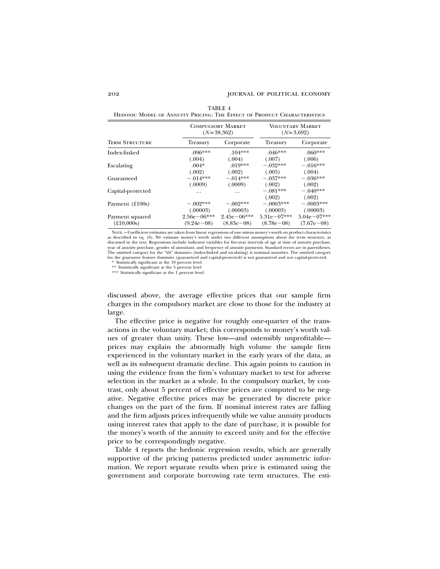| TABLE 4                                                                 |  |  |  |  |
|-------------------------------------------------------------------------|--|--|--|--|
| HEDONIC MODEL OF ANNUITY PRICING: THE EFFECT OF PRODUCT CHARACTERISTICS |  |  |  |  |

|                         |                 | <b>COMPULSORY MARKET</b><br>$(N=38,362)$ |                      | VOLUNTARY MARKET<br>$(N=3,692)$ |  |
|-------------------------|-----------------|------------------------------------------|----------------------|---------------------------------|--|
| <b>TERM STRUCTURE</b>   | Treasury        | Corporate                                | Treasury             | Corporate                       |  |
| Index-linked            | $.096***$       | $104***$                                 | $.046***$            | $.060***$                       |  |
|                         | (.004)          | (.004)                                   | (.007)               | (.006)                          |  |
| Escalating              | $.004*$         | $.019***$                                | $-.032***$           | $-.016***$                      |  |
|                         | (.002)          | (.002)                                   | (.005)               | (.004)                          |  |
| Guaranteed              | $-.014***$      | $-.014***$                               | $-.037***$           | $-.036***$                      |  |
|                         | (.0009)         | (.0009)                                  | (.002)               | (.002)                          |  |
| Capital-protected       | .               | .                                        | $-.081***$<br>(.002) | $-.040***$<br>(.002)            |  |
| Payment $(\pounds100s)$ | $-.002***$      | $-.002***$                               | $-.0003***$          | $-.0003***$                     |  |
|                         | (.00003)        | (.00003)                                 | (.00003)             | (.00003)                        |  |
| Payment squared         | $2.56e - 06***$ | $2.45e - 06***$                          | $5.31e-07***$        | $5.04e-07***$                   |  |
| (E10,000s)              | $(9.24e-08)$    | $(8.83e-08)$                             | $(8.78e-0.8)$        | $(7.67e - 08)$                  |  |

Nore.—Coefficient estimates are taken from linear regressions of one minus money's worth on product characteristics<br>as described in eq. (6). We estimate money's worth under two different assumptions about the term structur discussed in the text. Regressions include indicator variables for five-year intervals of age at time of annuity purchase, year of annuity purchase, gender of annuitant, and frequency of annuity payments. Standard errors are in parentheses.<br>The omitted category for the "tilt" dummies (index-linked and escalating) is nominal annuities. The omit for the guarantee feature dummies (guaranteed and capital-protected) is not guaranteed and not capital-protected.

\* Statistically significant at the 10 percent level. \*\* Statistically significant at the 5 percent level

\*\*\* Statistically significant at the 1 percent level.

discussed above, the average effective prices that our sample firm charges in the compulsory market are close to those for the industry at large.

The effective price is negative for roughly one-quarter of the transactions in the voluntary market; this corresponds to money's worth values of greater than unity. These low—and ostensibly unprofitable prices may explain the abnormally high volume the sample firm experienced in the voluntary market in the early years of the data, as well as its subsequent dramatic decline. This again points to caution in using the evidence from the firm's voluntary market to test for adverse selection in the market as a whole. In the compulsory market, by contrast, only about 5 percent of effective prices are computed to be negative. Negative effective prices may be generated by discrete price changes on the part of the firm. If nominal interest rates are falling and the firm adjusts prices infrequently while we value annuity products using interest rates that apply to the date of purchase, it is possible for the money's worth of the annuity to exceed unity and for the effective price to be correspondingly negative.

Table 4 reports the hedonic regression results, which are generally supportive of the pricing patterns predicted under asymmetric information. We report separate results when price is estimated using the government and corporate borrowing rate term structures. The esti-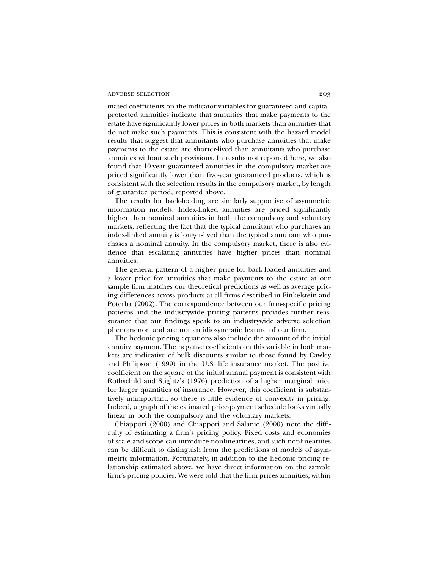mated coefficients on the indicator variables for guaranteed and capitalprotected annuities indicate that annuities that make payments to the estate have significantly lower prices in both markets than annuities that do not make such payments. This is consistent with the hazard model results that suggest that annuitants who purchase annuities that make payments to the estate are shorter-lived than annuitants who purchase annuities without such provisions. In results not reported here, we also found that 10-year guaranteed annuities in the compulsory market are priced significantly lower than five-year guaranteed products, which is consistent with the selection results in the compulsory market, by length of guarantee period, reported above.

The results for back-loading are similarly supportive of asymmetric information models. Index-linked annuities are priced significantly higher than nominal annuities in both the compulsory and voluntary markets, reflecting the fact that the typical annuitant who purchases an index-linked annuity is longer-lived than the typical annuitant who purchases a nominal annuity. In the compulsory market, there is also evidence that escalating annuities have higher prices than nominal annuities.

The general pattern of a higher price for back-loaded annuities and a lower price for annuities that make payments to the estate at our sample firm matches our theoretical predictions as well as average pricing differences across products at all firms described in Finkelstein and Poterba (2002). The correspondence between our firm-specific pricing patterns and the industrywide pricing patterns provides further reassurance that our findings speak to an industrywide adverse selection phenomenon and are not an idiosyncratic feature of our firm.

The hedonic pricing equations also include the amount of the initial annuity payment. The negative coefficients on this variable in both markets are indicative of bulk discounts similar to those found by Cawley and Philipson (1999) in the U.S. life insurance market. The positive coefficient on the square of the initial annual payment is consistent with Rothschild and Stiglitz's (1976) prediction of a higher marginal price for larger quantities of insurance. However, this coefficient is substantively unimportant, so there is little evidence of convexity in pricing. Indeed, a graph of the estimated price-payment schedule looks virtually linear in both the compulsory and the voluntary markets.

Chiappori (2000) and Chiappori and Salanie (2000) note the difficulty of estimating a firm's pricing policy. Fixed costs and economies of scale and scope can introduce nonlinearities, and such nonlinearities can be difficult to distinguish from the predictions of models of asymmetric information. Fortunately, in addition to the hedonic pricing relationship estimated above, we have direct information on the sample firm's pricing policies. We were told that the firm prices annuities, within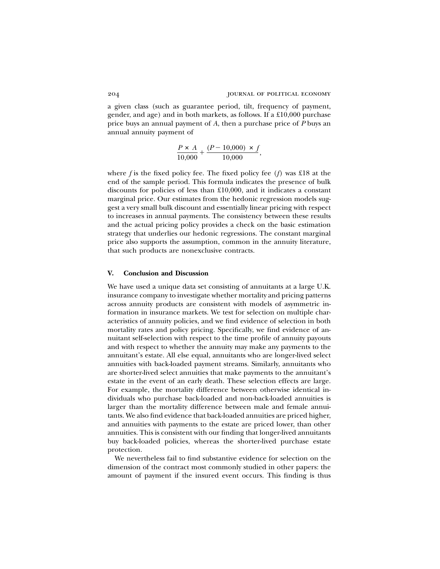a given class (such as guarantee period, tilt, frequency of payment, gender, and age) and in both markets, as follows. If a £10,000 purchase price buys an annual payment of *A*, then a purchase price of *P* buys an annual annuity payment of

$$
\frac{P \times A}{10,000} + \frac{(P - 10,000) \times f}{10,000},
$$

where *f* is the fixed policy fee. The fixed policy fee (*f*) was £18 at the end of the sample period. This formula indicates the presence of bulk discounts for policies of less than £10,000, and it indicates a constant marginal price. Our estimates from the hedonic regression models suggest a very small bulk discount and essentially linear pricing with respect to increases in annual payments. The consistency between these results and the actual pricing policy provides a check on the basic estimation strategy that underlies our hedonic regressions. The constant marginal price also supports the assumption, common in the annuity literature, that such products are nonexclusive contracts.

#### **V. Conclusion and Discussion**

We have used a unique data set consisting of annuitants at a large U.K. insurance company to investigate whether mortality and pricing patterns across annuity products are consistent with models of asymmetric information in insurance markets. We test for selection on multiple characteristics of annuity policies, and we find evidence of selection in both mortality rates and policy pricing. Specifically, we find evidence of annuitant self-selection with respect to the time profile of annuity payouts and with respect to whether the annuity may make any payments to the annuitant's estate. All else equal, annuitants who are longer-lived select annuities with back-loaded payment streams. Similarly, annuitants who are shorter-lived select annuities that make payments to the annuitant's estate in the event of an early death. These selection effects are large. For example, the mortality difference between otherwise identical individuals who purchase back-loaded and non-back-loaded annuities is larger than the mortality difference between male and female annuitants. We also find evidence that back-loaded annuities are priced higher, and annuities with payments to the estate are priced lower, than other annuities. This is consistent with our finding that longer-lived annuitants buy back-loaded policies, whereas the shorter-lived purchase estate protection.

We nevertheless fail to find substantive evidence for selection on the dimension of the contract most commonly studied in other papers: the amount of payment if the insured event occurs. This finding is thus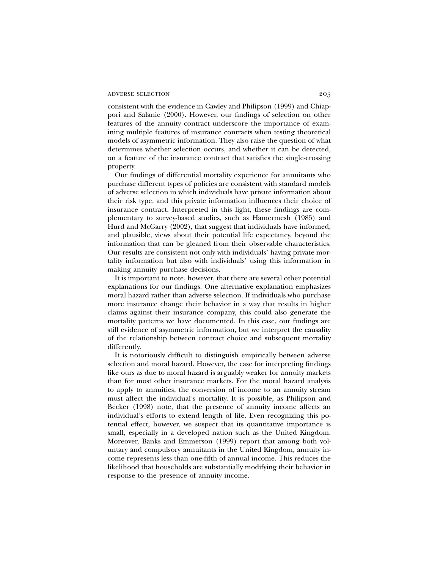consistent with the evidence in Cawley and Philipson (1999) and Chiappori and Salanie (2000). However, our findings of selection on other features of the annuity contract underscore the importance of examining multiple features of insurance contracts when testing theoretical models of asymmetric information. They also raise the question of what determines whether selection occurs, and whether it can be detected, on a feature of the insurance contract that satisfies the single-crossing property.

Our findings of differential mortality experience for annuitants who purchase different types of policies are consistent with standard models of adverse selection in which individuals have private information about their risk type, and this private information influences their choice of insurance contract. Interpreted in this light, these findings are complementary to survey-based studies, such as Hamermesh (1985) and Hurd and McGarry (2002), that suggest that individuals have informed, and plausible, views about their potential life expectancy, beyond the information that can be gleaned from their observable characteristics. Our results are consistent not only with individuals' having private mortality information but also with individuals' using this information in making annuity purchase decisions.

It is important to note, however, that there are several other potential explanations for our findings. One alternative explanation emphasizes moral hazard rather than adverse selection. If individuals who purchase more insurance change their behavior in a way that results in higher claims against their insurance company, this could also generate the mortality patterns we have documented. In this case, our findings are still evidence of asymmetric information, but we interpret the causality of the relationship between contract choice and subsequent mortality differently.

It is notoriously difficult to distinguish empirically between adverse selection and moral hazard. However, the case for interpreting findings like ours as due to moral hazard is arguably weaker for annuity markets than for most other insurance markets. For the moral hazard analysis to apply to annuities, the conversion of income to an annuity stream must affect the individual's mortality. It is possible, as Philipson and Becker (1998) note, that the presence of annuity income affects an individual's efforts to extend length of life. Even recognizing this potential effect, however, we suspect that its quantitative importance is small, especially in a developed nation such as the United Kingdom. Moreover, Banks and Emmerson (1999) report that among both voluntary and compulsory annuitants in the United Kingdom, annuity income represents less than one-fifth of annual income. This reduces the likelihood that households are substantially modifying their behavior in response to the presence of annuity income.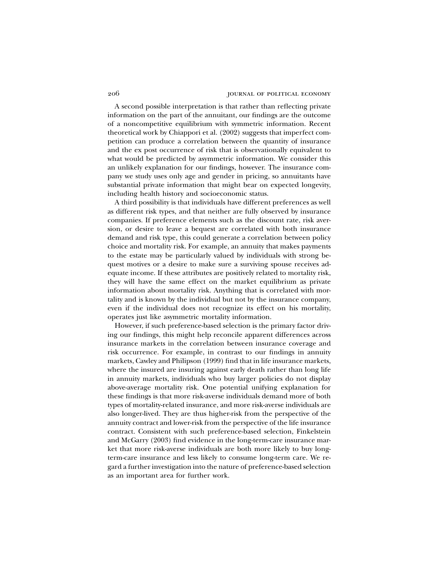# 206 journal of political economy

A second possible interpretation is that rather than reflecting private information on the part of the annuitant, our findings are the outcome of a noncompetitive equilibrium with symmetric information. Recent theoretical work by Chiappori et al. (2002) suggests that imperfect competition can produce a correlation between the quantity of insurance and the ex post occurrence of risk that is observationally equivalent to what would be predicted by asymmetric information. We consider this an unlikely explanation for our findings, however. The insurance company we study uses only age and gender in pricing, so annuitants have substantial private information that might bear on expected longevity, including health history and socioeconomic status.

A third possibility is that individuals have different preferences as well as different risk types, and that neither are fully observed by insurance companies. If preference elements such as the discount rate, risk aversion, or desire to leave a bequest are correlated with both insurance demand and risk type, this could generate a correlation between policy choice and mortality risk. For example, an annuity that makes payments to the estate may be particularly valued by individuals with strong bequest motives or a desire to make sure a surviving spouse receives adequate income. If these attributes are positively related to mortality risk, they will have the same effect on the market equilibrium as private information about mortality risk. Anything that is correlated with mortality and is known by the individual but not by the insurance company, even if the individual does not recognize its effect on his mortality, operates just like asymmetric mortality information.

However, if such preference-based selection is the primary factor driving our findings, this might help reconcile apparent differences across insurance markets in the correlation between insurance coverage and risk occurrence. For example, in contrast to our findings in annuity markets, Cawley and Philipson (1999) find that in life insurance markets, where the insured are insuring against early death rather than long life in annuity markets, individuals who buy larger policies do not display above-average mortality risk. One potential unifying explanation for these findings is that more risk-averse individuals demand more of both types of mortality-related insurance, and more risk-averse individuals are also longer-lived. They are thus higher-risk from the perspective of the annuity contract and lower-risk from the perspective of the life insurance contract. Consistent with such preference-based selection, Finkelstein and McGarry (2003) find evidence in the long-term-care insurance market that more risk-averse individuals are both more likely to buy longterm-care insurance and less likely to consume long-term care. We regard a further investigation into the nature of preference-based selection as an important area for further work.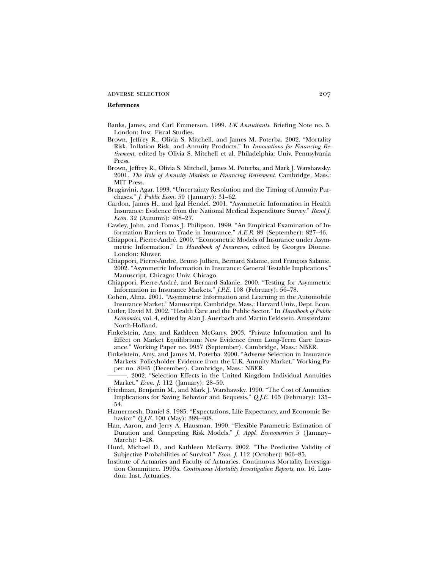#### **References**

- Banks, James, and Carl Emmerson. 1999. *UK Annuitants*. Briefing Note no. 5. London: Inst. Fiscal Studies.
- Brown, Jeffrey R., Olivia S. Mitchell, and James M. Poterba. 2002. "Mortality Risk, Inflation Risk, and Annuity Products." In *Innovations for Financing Retirement*, edited by Olivia S. Mitchell et al. Philadelphia: Univ. Pennsylvania Press.
- Brown, Jeffrey R., Olivia S. Mitchell, James M. Poterba, and Mark J. Warshawsky. 2001. *The Role of Annuity Markets in Financing Retirement*. Cambridge, Mass.: MIT Press.
- Brugiavini, Agar. 1993. "Uncertainty Resolution and the Timing of Annuity Purchases." *J. Public Econ.* 50 (January): 31–62.
- Cardon, James H., and Igal Hendel. 2001. "Asymmetric Information in Health Insurance: Evidence from the National Medical Expenditure Survey." *Rand J. Econ.* 32 (Autumn): 408–27.
- Cawley, John, and Tomas J. Philipson. 1999. "An Empirical Examination of Information Barriers to Trade in Insurance." *A.E.R.* 89 (September): 827–46.
- Chiappori, Pierre-André. 2000. "Econometric Models of Insurance under Asymmetric Information." In *Handbook of Insurance*, edited by Georges Dionne. London: Kluwer.
- Chiappori, Pierre-André, Bruno Jullien, Bernard Salanie, and François Salanie. 2002. "Asymmetric Information in Insurance: General Testable Implications." Manuscript. Chicago: Univ. Chicago.
- Chiappori, Pierre-Andre´, and Bernard Salanie. 2000. "Testing for Asymmetric Information in Insurance Markets." *J.P.E.* 108 (February): 56–78.
- Cohen, Alma. 2001. "Asymmetric Information and Learning in the Automobile Insurance Market." Manuscript. Cambridge, Mass.: Harvard Univ., Dept. Econ.
- Cutler, David M. 2002. "Health Care and the Public Sector." In *Handbook of Public Economics*, vol. 4, edited by Alan J. Auerbach and Martin Feldstein. Amsterdam: North-Holland.
- Finkelstein, Amy, and Kathleen McGarry. 2003. "Private Information and Its Effect on Market Equilibrium: New Evidence from Long-Term Care Insurance." Working Paper no. 9957 (September). Cambridge, Mass.: NBER.
- Finkelstein, Amy, and James M. Poterba. 2000. "Adverse Selection in Insurance Markets: Policyholder Evidence from the U.K. Annuity Market." Working Paper no. 8045 (December). Cambridge, Mass.: NBER.
- -. 2002. "Selection Effects in the United Kingdom Individual Annuities Market." *Econ. J.* 112 (January): 28–50.
- Friedman, Benjamin M., and Mark J. Warshawsky. 1990. "The Cost of Annuities: Implications for Saving Behavior and Bequests." *Q.J.E.* 105 (February): 135– 54.
- Hamermesh, Daniel S. 1985. "Expectations, Life Expectancy, and Economic Behavior." *Q.J.E.* 100 (May): 389–408.
- Han, Aaron, and Jerry A. Hausman. 1990. "Flexible Parametric Estimation of Duration and Competing Risk Models." *J. Appl. Econometrics* 5 (January– March): 1–28.
- Hurd, Michael D., and Kathleen McGarry. 2002. "The Predictive Validity of Subjective Probabilities of Survival." *Econ. J.* 112 (October): 966–85.
- Institute of Actuaries and Faculty of Actuaries. Continuous Mortality Investigation Committee. 1999*a*. *Continuous Mortality Investigation Reports*, no. 16. London: Inst. Actuaries.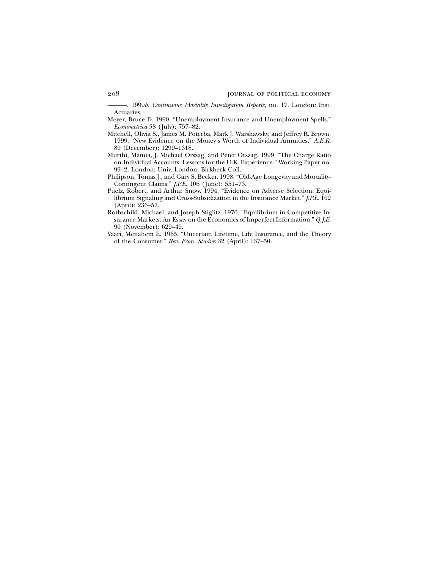———. 1999*b*. *Continuous Mortality Investigation Reports*, no. 17. London: Inst. Actuaries.

- Meyer, Bruce D. 1990. "Unemployment Insurance and Unemployment Spells." *Econometrica* 58 (July): 757–82.
- Mitchell, Olivia S., James M. Poterba, Mark J. Warshawsky, and Jeffrey R. Brown. 1999. "New Evidence on the Money's Worth of Individual Annuities." *A.E.R.* 89 (December): 1299–1318.
- Murthi, Mamta, J. Michael Orszag, and Peter Orszag. 1999. "The Charge Ratio on Individual Accounts: Lessons for the U.K. Experience." Working Paper no. 99–2. London: Univ. London, Birkbeck Coll.
- Philipson, Tomas J., and Gary S. Becker. 1998. "Old-Age Longevity and Mortality-Contingent Claims." *J.P.E.* 106 (June): 551–73.
- Puelz, Robert, and Arthur Snow. 1994. "Evidence on Adverse Selection: Equilibrium Signaling and Cross-Subsidization in the Insurance Market." *J.P.E.* 102 (April): 236–57.
- Rothschild, Michael, and Joseph Stiglitz. 1976. "Equilibrium in Competitive Insurance Markets: An Essay on the Economics of Imperfect Information." *Q.J.E.* 90 (November): 629–49.
- Yaari, Menahem E. 1965. "Uncertain Lifetime, Life Insurance, and the Theory of the Consumer." *Rev. Econ. Studies* 32 (April): 137–50.